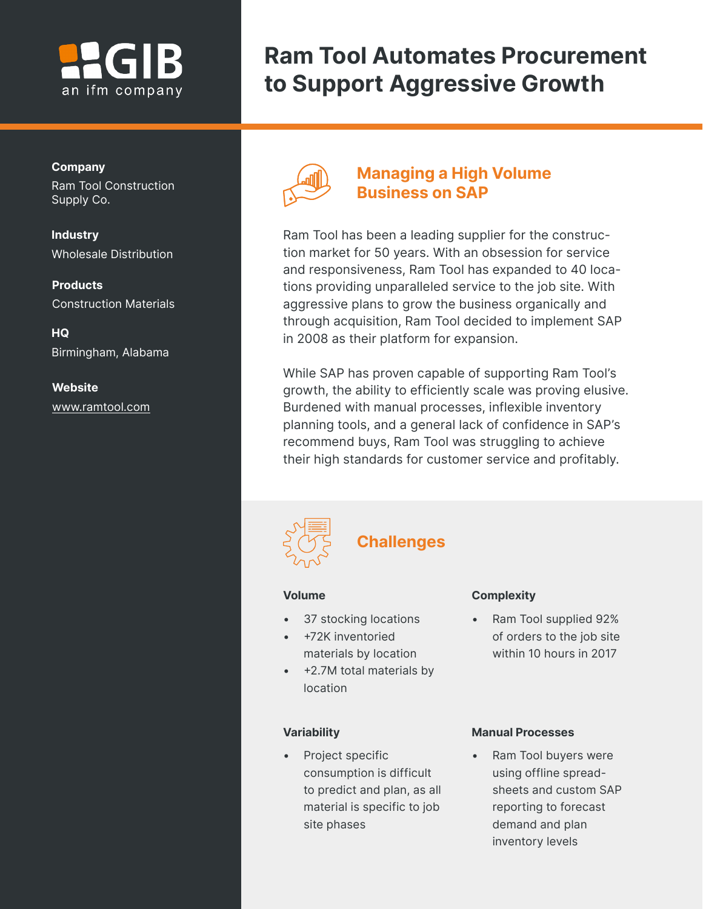# an ifm company

# **Ram Tool Automates Procurement to Support Aggressive Growth**

### **Company**

Ram Tool Construction Supply Co.

**Industry** Wholesale Distribution

**Products** Construction Materials

**HQ** Birmingham, Alabama

### **Website** [www.ramtool.com](http://www.ramtool.com)



### **Managing a High Volume Business on SAP**

Ram Tool has been a leading supplier for the construction market for 50 years. With an obsession for service and responsiveness, Ram Tool has expanded to 40 locations providing unparalleled service to the job site. With aggressive plans to grow the business organically and through acquisition, Ram Tool decided to implement SAP in 2008 as their platform for expansion.

While SAP has proven capable of supporting Ram Tool's growth, the ability to efficiently scale was proving elusive. Burdened with manual processes, inflexible inventory planning tools, and a general lack of confidence in SAP's recommend buys, Ram Tool was struggling to achieve their high standards for customer service and profitably.



## **Challenges**

### **Volume**

- 37 stocking locations
- +72K inventoried materials by location
- +2.7M total materials by location

#### **Variability**

• Project specific consumption is difficult to predict and plan, as all material is specific to job site phases

### **Complexity**

• Ram Tool supplied 92% of orders to the job site within 10 hours in 2017

### **Manual Processes**

• Ram Tool buyers were using offline spreadsheets and custom SAP reporting to forecast demand and plan inventory levels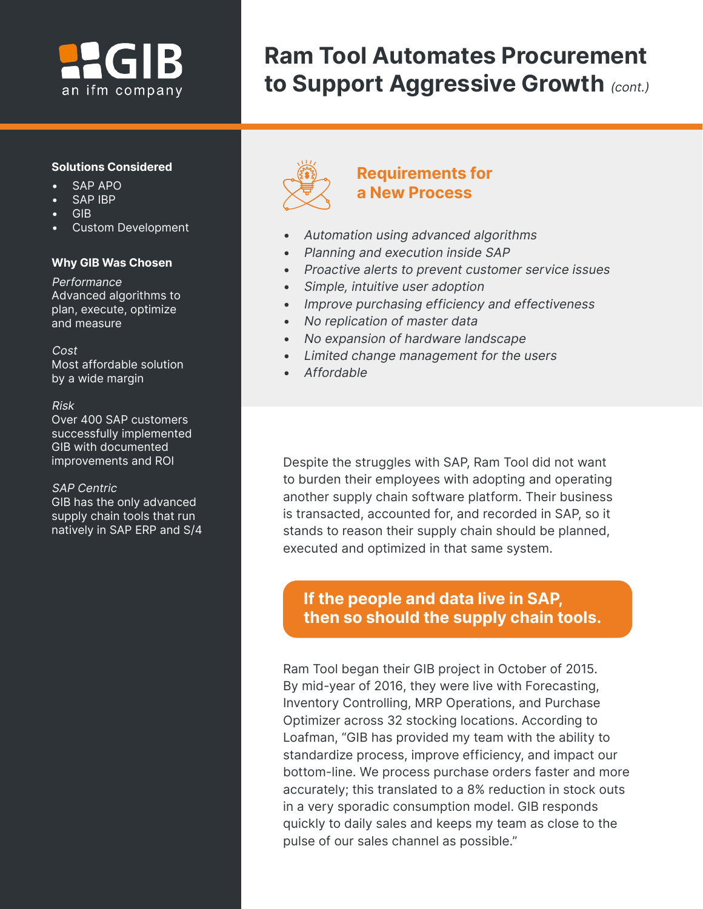# an ifm company

# **Ram Tool Automates Procurement**  to Support Aggressive Growth (cont.)

### **Solutions Considered**

- SAP APO
- SAP IBP
- GIB
- Custom Development

### **Why GIB Was Chosen**

**Performance** Advanced algorithms to plan, execute, optimize and measure

Cost Most affordable solution by a wide margin

#### Risk

Over 400 SAP customers successfully implemented GIB with documented improvements and ROI

### SAP Centric

GIB has the only advanced supply chain tools that run natively in SAP ERP and S/4



## **Requirements for a New Process**

- Automation using advanced algorithms
- Planning and execution inside SAP
- Proactive alerts to prevent customer service issues
- Simple, intuitive user adoption
- Improve purchasing efficiency and effectiveness
- No replication of master data
- No expansion of hardware landscape
- Limited change management for the users
- Affordable

ľ

Despite the struggles with SAP, Ram Tool did not want to burden their employees with adopting and operating another supply chain software platform. Their business is transacted, accounted for, and recorded in SAP, so it stands to reason their supply chain should be planned, executed and optimized in that same system.

## **If the people and data live in SAP, then so should the supply chain tools.**

Ram Tool began their GIB project in October of 2015. By mid-year of 2016, they were live with Forecasting, Inventory Controlling, MRP Operations, and Purchase Optimizer across 32 stocking locations. According to Loafman, "GIB has provided my team with the ability to standardize process, improve efficiency, and impact our bottom-line. We process purchase orders faster and more accurately; this translated to a 8% reduction in stock outs in a very sporadic consumption model. GIB responds quickly to daily sales and keeps my team as close to the pulse of our sales channel as possible."